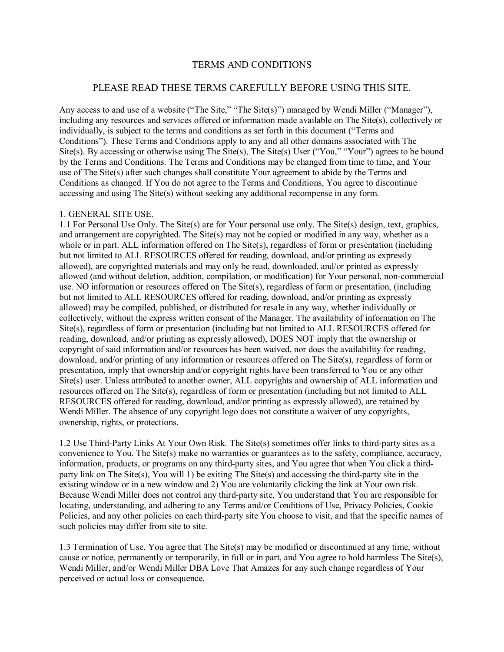## TERMS AND CONDITIONS

# PLEASE READ THESE TERMS CAREFULLY BEFORE USING THIS SITE.

Any access to and use of a website ("The Site," "The Site(s)") managed by Wendi Miller ("Manager"), including any resources and services offered or information made available on The Site(s), collectively or individually, is subject to the terms and conditions as set forth in this document ("Terms and Conditions"). These Terms and Conditions apply to any and all other domains associated with The Site(s). By accessing or otherwise using The Site(s), The Site(s) User ("You," "Your") agrees to be bound by the Terms and Conditions. The Terms and Conditions may be changed from time to time, and Your use of The Site(s) after such changes shall constitute Your agreement to abide by the Terms and Conditions as changed. If You do not agree to the Terms and Conditions, You agree to discontinue accessing and using The Site(s) without seeking any additional recompense in any form.

### 1. GENERAL SITE USE.

1.1 For Personal Use Only. The Site(s) are for Your personal use only. The Site(s) design, text, graphics, and arrangement are copyrighted. The Site(s) may not be copied or modified in any way, whether as a whole or in part. ALL information offered on The Site(s), regardless of form or presentation (including but not limited to ALL RESOURCES offered for reading, download, and/or printing as expressly allowed), are copyrighted materials and may only be read, downloaded, and/or printed as expressly allowed (and without deletion, addition, compilation, or modification) for Your personal, non-commercial use. NO information or resources offered on The Site(s), regardless of form or presentation, (including but not limited to ALL RESOURCES offered for reading, download, and/or printing as expressly allowed) may be compiled, published, or distributed for resale in any way, whether individually or collectively, without the express written consent of the Manager. The availability of information on The Site(s), regardless of form or presentation (including but not limited to ALL RESOURCES offered for reading, download, and/or printing as expressly allowed), DOES NOT imply that the ownership or copyright of said information and/or resources has been waived, nor does the availability for reading, download, and/or printing of any information or resources offered on The Site(s), regardless of form or presentation, imply that ownership and/or copyright rights have been transferred to You or any other Site(s) user. Unless attributed to another owner, ALL copyrights and ownership of ALL information and resources offered on The Site(s), regardless of form or presentation (including but not limited to ALL RESOURCES offered for reading, download, and/or printing as expressly allowed), are retained by Wendi Miller. The absence of any copyright logo does not constitute a waiver of any copyrights, ownership, rights, or protections.

1.2 Use Third-Party Links At Your Own Risk. The Site(s) sometimes offer links to third-party sites as a convenience to You. The Site(s) make no warranties or guarantees as to the safety, compliance, accuracy, information, products, or programs on any third-party sites, and You agree that when You click a thirdparty link on The Site(s), You will 1) be exiting The Site(s) and accessing the third-party site in the existing window or in a new window and 2) You are voluntarily clicking the link at Your own risk. Because Wendi Miller does not control any third-party site, You understand that You are responsible for locating, understanding, and adhering to any Terms and/or Conditions of Use, Privacy Policies, Cookie Policies, and any other policies on each third-party site You choose to visit, and that the specific names of such policies may differ from site to site.

1.3 Termination of Use. You agree that The Site(s) may be modified or discontinued at any time, without cause or notice, permanently or temporarily, in full or in part, and You agree to hold harmless The Site(s), Wendi Miller, and/or Wendi Miller DBA Love That Amazes for any such change regardless of Your perceived or actual loss or consequence.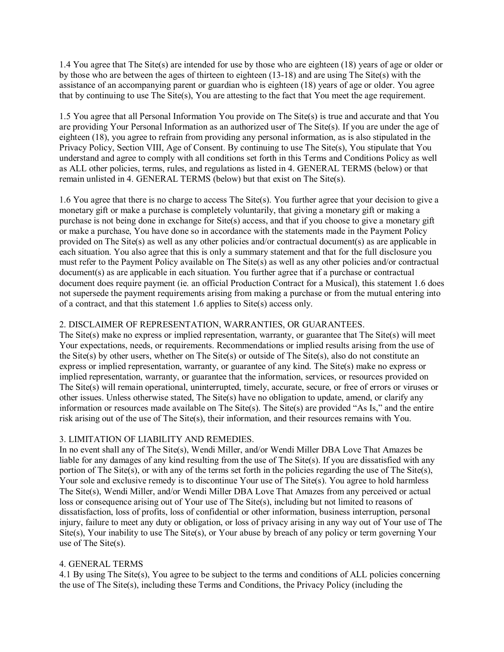1.4 You agree that The Site(s) are intended for use by those who are eighteen (18) years of age or older or by those who are between the ages of thirteen to eighteen (13-18) and are using The Site(s) with the assistance of an accompanying parent or guardian who is eighteen (18) years of age or older. You agree that by continuing to use The Site(s), You are attesting to the fact that You meet the age requirement.

1.5 You agree that all Personal Information You provide on The Site(s) is true and accurate and that You are providing Your Personal Information as an authorized user of The Site(s). If you are under the age of eighteen (18), you agree to refrain from providing any personal information, as is also stipulated in the Privacy Policy, Section VIII, Age of Consent. By continuing to use The Site(s), You stipulate that You understand and agree to comply with all conditions set forth in this Terms and Conditions Policy as well as ALL other policies, terms, rules, and regulations as listed in 4. GENERAL TERMS (below) or that remain unlisted in 4. GENERAL TERMS (below) but that exist on The Site(s).

1.6 You agree that there is no charge to access The Site(s). You further agree that your decision to give a monetary gift or make a purchase is completely voluntarily, that giving a monetary gift or making a purchase is not being done in exchange for Site(s) access, and that if you choose to give a monetary gift or make a purchase, You have done so in accordance with the statements made in the Payment Policy provided on The Site(s) as well as any other policies and/or contractual document(s) as are applicable in each situation. You also agree that this is only a summary statement and that for the full disclosure you must refer to the Payment Policy available on The Site(s) as well as any other policies and/or contractual document(s) as are applicable in each situation. You further agree that if a purchase or contractual document does require payment (ie. an official Production Contract for a Musical), this statement 1.6 does not supersede the payment requirements arising from making a purchase or from the mutual entering into of a contract, and that this statement 1.6 applies to Site(s) access only.

#### 2. DISCLAIMER OF REPRESENTATION, WARRANTIES, OR GUARANTEES.

The Site(s) make no express or implied representation, warranty, or guarantee that The Site(s) will meet Your expectations, needs, or requirements. Recommendations or implied results arising from the use of the Site(s) by other users, whether on The Site(s) or outside of The Site(s), also do not constitute an express or implied representation, warranty, or guarantee of any kind. The Site(s) make no express or implied representation, warranty, or guarantee that the information, services, or resources provided on The Site(s) will remain operational, uninterrupted, timely, accurate, secure, or free of errors or viruses or other issues. Unless otherwise stated, The Site(s) have no obligation to update, amend, or clarify any information or resources made available on The Site(s). The Site(s) are provided "As Is," and the entire risk arising out of the use of The Site(s), their information, and their resources remains with You.

## 3. LIMITATION OF LIABILITY AND REMEDIES.

In no event shall any of The Site(s), Wendi Miller, and/or Wendi Miller DBA Love That Amazes be liable for any damages of any kind resulting from the use of The Site(s). If you are dissatisfied with any portion of The Site(s), or with any of the terms set forth in the policies regarding the use of The Site(s), Your sole and exclusive remedy is to discontinue Your use of The Site(s). You agree to hold harmless The Site(s), Wendi Miller, and/or Wendi Miller DBA Love That Amazes from any perceived or actual loss or consequence arising out of Your use of The Site(s), including but not limited to reasons of dissatisfaction, loss of profits, loss of confidential or other information, business interruption, personal injury, failure to meet any duty or obligation, or loss of privacy arising in any way out of Your use of The Site(s), Your inability to use The Site(s), or Your abuse by breach of any policy or term governing Your use of The Site(s).

#### 4. GENERAL TERMS

4.1 By using The Site(s), You agree to be subject to the terms and conditions of ALL policies concerning the use of The Site(s), including these Terms and Conditions, the Privacy Policy (including the